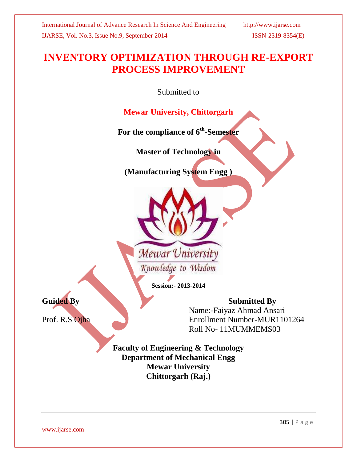# **INVENTORY OPTIMIZATION THROUGH RE-EXPORT PROCESS IMPROVEMENT**

Submitted to

**Mewar University, Chittorgarh**

**For the compliance of 6th -Semester**

**Master of Technology in**

**(Manufacturing System Engg )**



**Session:- 2013-2014**

Guided By Submitted By Name:-Faiyaz Ahmad Ansari<br>Prof. R.S Ojha Enrollment Number-MUR110 Enrollment Number-MUR1101264 Roll No- 11MUMMEMS03

> **Faculty of Engineering & Technology Department of Mechanical Engg Mewar University Chittorgarh (Raj.)**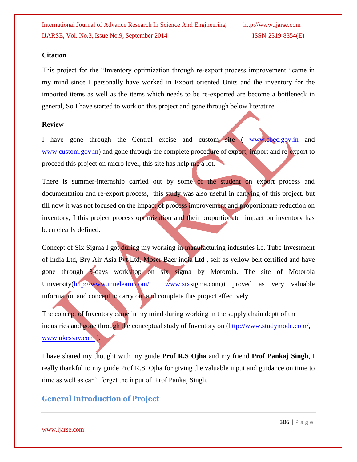#### **Citation**

This project for the "Inventory optimization through re-export process improvement "came in my mind since I personally have worked in Export oriented Units and the inventory for the imported items as well as the items which needs to be re-exported are become a bottleneck in general, So I have started to work on this project and gone through below literature

#### **Review**

I have gone through the Central excise and custom site ( [www.cbec.gov.in](http://www.cbec.gov.in/) and [www.custom.gov.in\)](http://www.custom.gov.in/) and gone through the complete procedure of export, import and re-export to proceed this project on micro level, this site has help me a lot.

There is summer-internship carried out by some of the student on export process and documentation and re-export process, this study was also useful in carrying of this project. but till now it was not focused on the impact of process improvement and proportionate reduction on inventory, I this project process optimization and their proportionate impact on inventory has been clearly defined.

Concept of Six Sigma I got during my working in manufacturing industries i.e. Tube Investment of India Ltd, Bry Air Asia Pvt Ltd, Moser Baer india Ltd , self as yellow belt certified and have gone through 3-days workshop on six sigma by Motorola. The site of Motorola University[\(http://www.muelearn.com/,](http://www.muelearn.com/) [www.sixs](http://www.six/)igma.com) proved as very valuable information and concept to carry out and complete this project effectively.

The concept of Inventory came in my mind during working in the supply chain deptt of the industries and gone through the conceptual study of Inventory on [\(http://www.studymode.com/,](http://www.studymode.com/) [www.ukessay.com](http://www.ukessay.com/) ).

I have shared my thought with my guide **Prof R.S Ojha** and my friend **Prof Pankaj Singh**, I really thankful to my guide Prof R.S. Ojha for giving the valuable input and guidance on time to time as well as can't forget the input of Prof Pankaj Singh.

# **General Introduction of Project**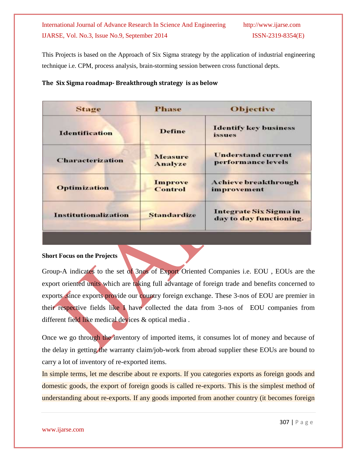This Projects is based on the Approach of Six Sigma strategy by the application of industrial engineering technique i.e. CPM, process analysis, brain-storming session between cross functional depts.

#### **The Six Sigma roadmap- Breakthrough strategy is as below**

| <b>Stage</b>                | Phase                     | <b>Objective</b>                                  |  |  |  |
|-----------------------------|---------------------------|---------------------------------------------------|--|--|--|
| <b>Identification</b>       | <b>Define</b>             | <b>Identify key business</b><br><i>issues</i>     |  |  |  |
| <b>Characterization</b>     | <b>Measure</b><br>Analyze | <b>Understand current</b><br>performance levels   |  |  |  |
| <b>Optimization</b>         | <b>Improve</b><br>Control | <b>Achieve breakthrough</b><br>improvement        |  |  |  |
| <b>Institutionalization</b> | <b>Standardize</b>        | Integrate Six Sigma in<br>day to day functioning. |  |  |  |

#### **Short Focus on the Projects**

Group-A indicates to the set of 3nos of Export Oriented Companies i.e. EOU , EOUs are the export oriented units which are taking full advantage of foreign trade and benefits concerned to exports since exports provide our country foreign exchange. These 3-nos of EOU are premier in their respective fields like I have collected the data from 3-nos of EOU companies from different field like medical devices & optical media .

Once we go through the inventory of imported items, it consumes lot of money and because of the delay in getting the warranty claim/job-work from abroad supplier these EOUs are bound to carry a lot of inventory of re-exported items.

In simple terms, let me describe about re exports. If you categories exports as foreign goods and domestic goods, the export of foreign goods is called re-exports. This is the simplest method of understanding about re-exports. If any goods imported from another country (it becomes foreign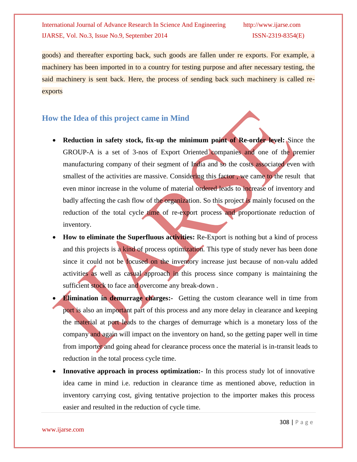goods) and thereafter exporting back, such goods are fallen under re exports. For example, a machinery has been imported in to a country for testing purpose and after necessary testing, the said machinery is sent back. Here, the process of sending back such machinery is called reexports

# **How the Idea of this project came in Mind**

- **Reduction in safety stock, fix-up the minimum point of Re-order level:** Since the GROUP-A is a set of 3-nos of Export Oriented companies and one of the premier manufacturing company of their segment of India and so the costs associated even with smallest of the activities are massive. Considering this factor, we came to the result that even minor increase in the volume of material ordered leads to increase of inventory and badly affecting the cash flow of the organization. So this project is mainly focused on the reduction of the total cycle time of re-export process and proportionate reduction of inventory.
- **How to eliminate the Superfluous activities:** Re-Export is nothing but a kind of process and this projects is a kind of process optimization. This type of study never has been done since it could not be focused on the inventory increase just because of non-valu added activities as well as casual approach in this process since company is maintaining the sufficient stock to face and overcome any break-down.
- **Elimination in demurrage charges:** Getting the custom clearance well in time from port is also an important part of this process and any more delay in clearance and keeping the material at port leads to the charges of demurrage which is a monetary loss of the company and again will impact on the inventory on hand, so the getting paper well in time from importer and going ahead for clearance process once the material is in-transit leads to reduction in the total process cycle time.
- **Innovative approach in process optimization:** In this process study lot of innovative idea came in mind i.e. reduction in clearance time as mentioned above, reduction in inventory carrying cost, giving tentative projection to the importer makes this process easier and resulted in the reduction of cycle time.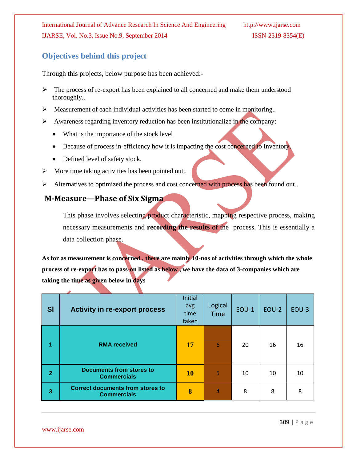# **Objectives behind this project**

Through this projects, below purpose has been achieved:-

- The process of re-export has been explained to all concerned and make them understood thoroughly..
- $\triangleright$  Measurement of each individual activities has been started to come in monitoring..
- $\triangleright$  Awareness regarding inventory reduction has been institutionalize in the company:
	- What is the importance of the stock level
	- Because of process in-efficiency how it is impacting the cost concerned to Inventory.
	- Defined level of safety stock.
- $\triangleright$  More time taking activities has been pointed out..
- Alternatives to optimized the process and cost concerned with process has been found out..

# **M-Measure—Phase of Six Sigma**

This phase involves selecting product characteristic, mapping respective process, making necessary measurements and **recording the results** of the process. This is essentially a data collection phase.

**As for as measurement is concerned , there are mainly 10-nos of activities through which the whole process of re-export has to pass-on listed as below , we have the data of 3-companies which are taking the time as given below in days**

| SI             | <b>Activity in re-export process</b>                          | Initial<br>avg<br>time<br>taken | Logical<br><b>Time</b> | <b>EOU-1</b> | EOU-2 | EOU-3 |
|----------------|---------------------------------------------------------------|---------------------------------|------------------------|--------------|-------|-------|
|                | <b>RMA</b> received                                           | 17                              | 6                      | 20           | 16    | 16    |
| $\overline{2}$ | Documents from stores to<br><b>Commercials</b>                | <b>10</b>                       | 5                      | 10           | 10    | 10    |
| 3              | <b>Correct documents from stores to</b><br><b>Commercials</b> | 8                               | 4                      | 8            | 8     | 8     |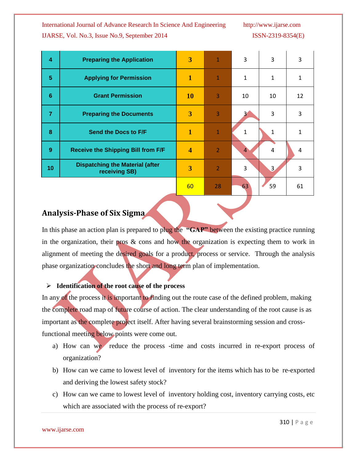| $\boldsymbol{4}$ | <b>Preparing the Application</b>                        | 3                       | 1              | 3              | 3  | 3  |
|------------------|---------------------------------------------------------|-------------------------|----------------|----------------|----|----|
| $5\phantom{.0}$  | <b>Applying for Permission</b>                          | $\mathbf{1}$            | $\overline{1}$ | 1              | 1  | 1  |
| $6\phantom{1}6$  | <b>Grant Permission</b>                                 | <b>10</b>               | 3              | 10             | 10 | 12 |
| $\overline{7}$   | <b>Preparing the Documents</b>                          | $\overline{3}$          | 3              |                | 3  | 3  |
| 8                | Send the Docs to F/F                                    | 1                       | $\mathbf{1}$   | 1              | 1  |    |
| 9                | <b>Receive the Shipping Bill from F/F</b>               | $\overline{\mathbf{4}}$ | $\overline{2}$ | $\overline{4}$ | 4  | 4  |
| 10               | <b>Dispatching the Material (after</b><br>receiving SB) | 3                       | $\overline{2}$ | 3              | 3  | 3  |
|                  |                                                         | 60                      | 28             | 63             | 59 | 61 |

# **Analysis-Phase of Six Sigma**

In this phase an action plan is prepared to plug the **"GAP"** between the existing practice running in the organization, their pros  $\&$  cons and how the organization is expecting them to work in alignment of meeting the desired goals for a product, process or service. Through the analysis phase organization concludes the short and long term plan of implementation.

#### **Identification of the root cause of the process**

In any of the process it is important to finding out the route case of the defined problem, making the complete road map of future course of action. The clear understanding of the root cause is as important as the complete project itself. After having several brainstorming session and crossfunctional meeting below points were come out.

- a) How can we reduce the process -time and costs incurred in re-export process of organization?
- b) How can we came to lowest level of inventory for the items which has to be re-exported and deriving the lowest safety stock?
- c) How can we came to lowest level of inventory holding cost, inventory carrying costs, etc which are associated with the process of re-export?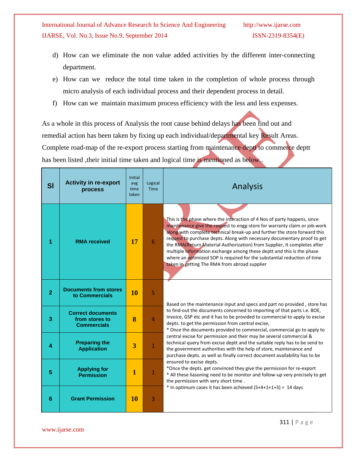- d) How can we eliminate the non value added activities by the different inter-connecting department.
- e) How can we reduce the total time taken in the completion of whole process through micro analysis of each individual process and their dependent process in detail.
- f) How can we maintain maximum process efficiency with the less and less expenses.

As a whole in this process of Analysis the root cause behind delays has been find out and remedial action has been taken by fixing up each individual/departmental key Result Areas. Complete road-map of the re-export process starting from maintenance deptt to commerce deptt has been listed , their initial time taken and logical time is mentioned as below.

| <b>SI</b>      | <b>Activity in re-export</b><br>process                          | Initial<br>avg<br>time<br>taken | Logical<br><b>Time</b> | <b>Analysis</b>                                                                                                                                                                                                                                                                                                                                                                                                                                                                                                                                                                                  |  |  |  |  |  |  |  |
|----------------|------------------------------------------------------------------|---------------------------------|------------------------|--------------------------------------------------------------------------------------------------------------------------------------------------------------------------------------------------------------------------------------------------------------------------------------------------------------------------------------------------------------------------------------------------------------------------------------------------------------------------------------------------------------------------------------------------------------------------------------------------|--|--|--|--|--|--|--|
|                | <b>RMA</b> received                                              | 17                              | 6                      | This is the phase where the interaction of 4 Nos of party happens, since<br>maintenance give the request to engg-store for warranty claim or job-work<br>along with complete technical break-up and further the store forward this<br>request to purchase depts. Along with necessary documentary proof to get<br>the RMA(Return Material Authorization) from Supplier, It completes after<br>multiple information exchange among these deptt and this is the phase<br>where an optimized SOP is required for the substantial reduction of time<br>taken in getting The RMA from abroad supplier |  |  |  |  |  |  |  |
| $\overline{2}$ | <b>Documents from stores</b><br>to Commercials                   | 10                              | $\overline{5}$         | Based on the maintenance input and specs and part no provided, store has                                                                                                                                                                                                                                                                                                                                                                                                                                                                                                                         |  |  |  |  |  |  |  |
| 3              | <b>Correct documents</b><br>from stores to<br><b>Commercials</b> | 8                               | $\overline{4}$         | to find-out the documents concerned to importing of that parts i.e. BOE,<br>Invoice, GSP etc and it has to be provided to commercial to apply to excise<br>depts. to get the permission from central excise,<br>* Once the documents provided to commercial, commercial go to apply to                                                                                                                                                                                                                                                                                                           |  |  |  |  |  |  |  |
| 4              | <b>Preparing the</b><br><b>Application</b>                       | 3                               | $\mathbf{1}$           | central excise for permission and their may be several commercial &<br>technical query from excise deptt and the suitable reply has to be send to<br>the government authorities with the help of store, maintenance and<br>purchase depts. as well as finally correct document availability has to be                                                                                                                                                                                                                                                                                            |  |  |  |  |  |  |  |
| 5              | <b>Applying for</b><br><b>Permission</b>                         | $\mathbf{1}$                    | $\mathbf{1}$           | ensured to excise depts.<br>*Once the depts. get convinced they give the permission for re-export<br>* All these liasoning need to be monitor and follow-up very precisely to get<br>the permission with very short time.                                                                                                                                                                                                                                                                                                                                                                        |  |  |  |  |  |  |  |
| 6              | <b>Grant Permission</b>                                          | <b>10</b>                       | 3                      | * In optimum cases it has been achieved $(5+4+1+1+3) = 14$ days                                                                                                                                                                                                                                                                                                                                                                                                                                                                                                                                  |  |  |  |  |  |  |  |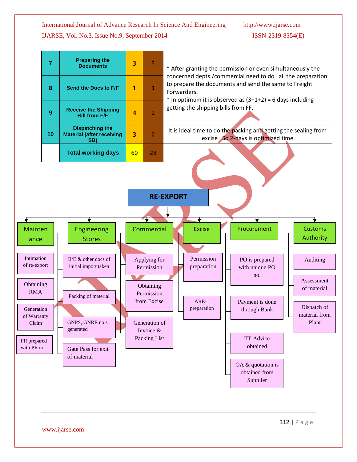**Preparing the** 



**7 Documents 3** 3 \* After granting the permission or even simultaneously the concerned depts./commercial need to do all the preparation to prepare the documents and send the same to Freight **8 Send the Docs to F/F** 1 1 Forwarders.  $*$  In optimum it is observed as  $(3+1+2) = 6$  days including getting the shipping bills from FF. **Receive the Shipping 9 Bill from F/F**  $\begin{array}{|c|c|c|} \hline \end{array}$  **4**  $\begin{array}{|c|c|c|} \hline \end{array}$  2 **Dispatching the**  It is ideal time to do the packing and getting the sealing from **10 Material (after receiving 3** 2 excise . So 2-days is optimized time **SB) Total working days** | 60 | 28 **RE-EXPORT**╈ ▼ ╈ Mainten | | Engineering | Commercial | Excise | Procurement Customs Authority Stores ance Intimation B/E & other docs of Permission Applying for PO is prepared Auditing of re-export initial import taken Permission preparation with unique PO no. Assessment **Obtaining Obtaining** of material RMA Permission Packing of material from Excise ARE-1 Payment is done Dispatch of preparation Generation through Bank material from of Warranty GNPS, GNRE no.s Plant Generation of Claim generated Invoice & Packing List TT Advice PR prepared obtained with PR no. Gate Pass for exit j of material OA & quotation is obtained from Supplier

₩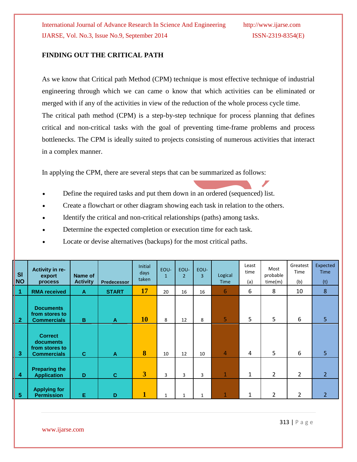#### **FINDING OUT THE CRITICAL PATH**

As we know that Critical path Method (CPM) technique is most effective technique of industrial engineering through which we can came o know that which activities can be eliminated or merged with if any of the activities in view of the reduction of the whole process cycle time. The critical path method (CPM) is a step-by-step technique for process planning that defines critical and non-critical tasks with the goal of preventing time-frame problems and process bottlenecks. The CPM is ideally suited to projects consisting of numerous activities that interact in a complex manner.

In applying the CPM, there are several steps that can be summarized as follows:

- Define the required tasks and put them down in an ordered (sequenced) list.
- Create a flowchart or other diagram showing each task in relation to the others.
- Identify the critical and non-critical relationships (paths) among tasks.
- Determine the expected completion or execution time for each task.
- Locate or devise alternatives (backups) for the most critical paths.

| SI<br><b>NO</b> | Activity in re-<br>export<br>process                                | Name of<br><b>Activity</b> | <b>Predecessor</b> | <b>Initial</b><br>days<br>taken                                              | EOU-<br>$\mathbf{1}$ | EOU-<br>$\overline{2}$ | EOU-<br>3    | Logical<br><b>Time</b> | Least<br>time<br>(a) | Most<br>probable<br>time(m) | Greatest<br>Time<br>(b) | Expected<br><b>Time</b><br>(t) |
|-----------------|---------------------------------------------------------------------|----------------------------|--------------------|------------------------------------------------------------------------------|----------------------|------------------------|--------------|------------------------|----------------------|-----------------------------|-------------------------|--------------------------------|
| 1               | <b>RMA</b> received                                                 | A                          | <b>START</b>       | 17                                                                           | 20                   | 16                     | 16           | 6                      | 6                    | 8                           | 10                      | 8                              |
| $\overline{2}$  | <b>Documents</b><br>from stores to<br><b>Commercials</b>            | B                          | $\mathbf{A}$       | 10                                                                           | 8                    | 12                     | 8            | 5                      | 5                    | 5                           | 6                       | 5                              |
| 3               | <b>Correct</b><br>documents<br>from stores to<br><b>Commercials</b> | $\mathbf{C}$               | $\mathbf{A}$       | 8                                                                            | 10                   | 12                     | 10           | $\overline{4}$         | 4                    | 5                           | 6                       | 5                              |
| 4               | <b>Preparing the</b><br><b>Application</b>                          | D                          | $\mathbf{C}$       | $\overline{3}$                                                               | 3                    | 3                      | 3            | $\mathbf 1$            | $\mathbf{1}$         | $\overline{2}$              | $\overline{2}$          | $\overline{2}$                 |
| 5               | <b>Applying for</b><br><b>Permission</b>                            | Е                          | D                  | $\mathbf{1}% \in\mathbb{Z}_{\geq0}\left[ \left[ \mathbf{1}\right] \right] ,$ | $\mathbf{1}$         | 1                      | $\mathbf{1}$ | 1                      | $\mathbf{1}$         | 2                           | 2                       | $\overline{2}$                 |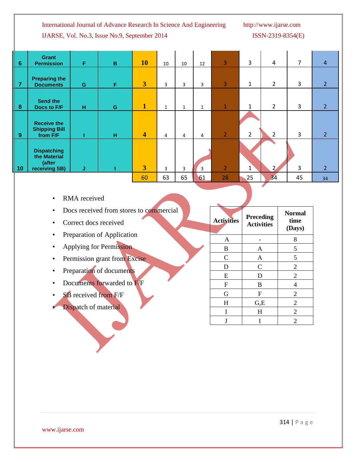**Activities Preceding** 

**Activities**

A | - | 8 B | A | 5  $C$  A 5 D C 2 E D 2 F | B | 4 G | F | 2  $H \qquad \qquad$  G, E  $\qquad$  2  $I$  H  $2$  $J \mid I \mid 2$ 

**Normal time (Days)**

|                             | Grant<br><b>Permission</b>                                    | F | $\mathbf B$ | <b>10</b>               | 10 | 10 | 12 | 3              | 3              | 4              | 7  | $\overline{4}$ |
|-----------------------------|---------------------------------------------------------------|---|-------------|-------------------------|----|----|----|----------------|----------------|----------------|----|----------------|
|                             | <b>Preparing the</b><br><b>Documents</b>                      | G | F           | 3                       | 3  | 3  | 3  | 3              | 1              | $\overline{2}$ | 3  | $\overline{2}$ |
|                             | <b>Send the</b><br>Docs to F/F                                | н | ${\bf G}$   | 1                       | 1  | 1  | 1  | $\mathbf 1$    | 1              | $\overline{2}$ | 3  | $\overline{2}$ |
|                             | <b>Receive the</b><br><b>Shipping Bill</b><br>from F/F        |   | H           | $\overline{\mathbf{4}}$ | 4  | 4  | 4  | $\overline{2}$ | $\overline{2}$ | 2              | 3  | $\overline{2}$ |
| 6<br>7<br>8<br>9<br>9<br>10 | <b>Dispatching</b><br>the Material<br>(after<br>receiving SB) | J |             | 3                       | 3  | 3  | 3  | $\overline{2}$ | 1              | 2              | 3  | $\overline{2}$ |
|                             |                                                               |   |             | 60                      | 63 | 65 | 61 | 28             | 25             | 34             | 45 | 34             |

- RMA received
- Docs received from stores to commercial
- Correct docs received
- Preparation of Application
- Applying for Permission
- Permission grant from Excise
- Preparation of documents
- Documents forwarded to F/F
- **SB** received from F/F
- **Dispatch of material**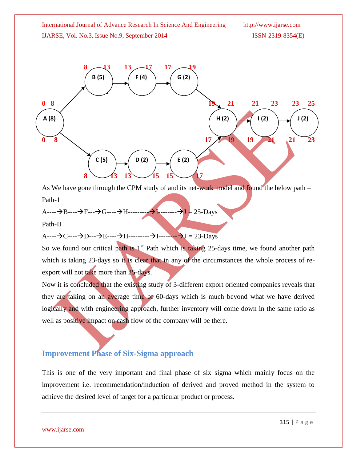

As We have gone through the CPM study of and its net-work model and found the below path – Path-1

 $A$ ---- $\rightarrow B$ ---- $\rightarrow F$ --- $\rightarrow G$ ---- $\rightarrow H$ -------- $\rightarrow I$ ------- $\rightarrow J = 25$ -Days

Path-II

 $A$ ---- $\rightarrow C$ ---- $\rightarrow D$ --- $\rightarrow E$ ---- $\rightarrow H$ --------- $\rightarrow I$ -------- $\rightarrow J = 23$ -Days

So we found our critical path is  $1<sup>st</sup>$  Path which is taking 25-days time, we found another path which is taking 23-days so it is clear that in any of the circumstances the whole process of reexport will not take more than 25-days.

Now it is concluded that the existing study of 3-different export oriented companies reveals that they are taking on an average time of 60-days which is much beyond what we have derived logically and with engineering approach, further inventory will come down in the same ratio as well as positive impact on cash flow of the company will be there.

# **Improvement Phase of Six-Sigma approach**

This is one of the very important and final phase of six sigma which mainly focus on the improvement i.e. recommendation/induction of derived and proved method in the system to achieve the desired level of target for a particular product or process.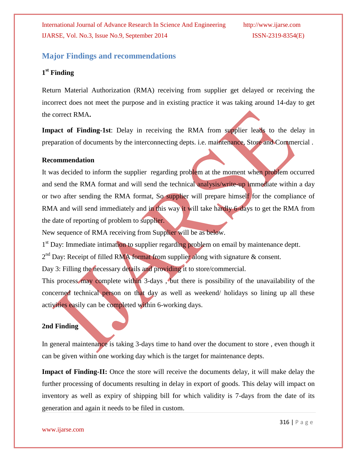# **Major Findings and recommendations**

### **1 st Finding**

Return Material Authorization (RMA) receiving from supplier get delayed or receiving the incorrect does not meet the purpose and in existing practice it was taking around 14-day to get the correct RMA**.**

**Impact of Finding-1st**: Delay in receiving the RMA from supplier leads to the delay in preparation of documents by the interconnecting depts. i.e. maintenance, Store and Commercial .

#### **Recommendation**

It was decided to inform the supplier regarding problem at the moment when problem occurred and send the RMA format and will send the technical analysis/write-up immediate within a day or two after sending the RMA format, So supplier will prepare himself for the compliance of RMA and will send immediately and in this way it will take hardly 6-days to get the RMA from the date of reporting of problem to supplier.

New sequence of RMA receiving from Supplier will be as below.

1<sup>st</sup> Day: Immediate intimation to supplier regarding problem on email by maintenance deptt.

 $2<sup>nd</sup>$  Day: Receipt of filled RMA format from supplier along with signature & consent.

Day 3: Filling the necessary details and providing it to store/commercial.

This process may complete within 3-days, but there is possibility of the unavailability of the concerned technical person on that day as well as weekend/ holidays so lining up all these activities easily can be completed within 6-working days.

#### **2nd Finding**

In general maintenance is taking 3-days time to hand over the document to store , even though it can be given within one working day which is the target for maintenance depts.

**Impact of Finding-II:** Once the store will receive the documents delay, it will make delay the further processing of documents resulting in delay in export of goods. This delay will impact on inventory as well as expiry of shipping bill for which validity is 7-days from the date of its generation and again it needs to be filed in custom.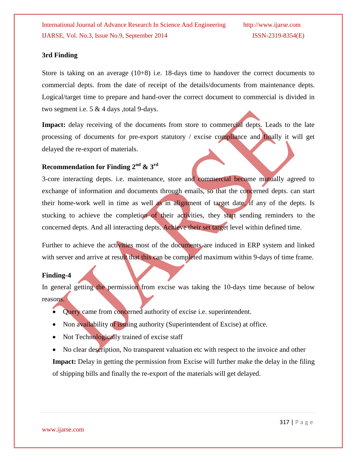#### **3rd Finding**

Store is taking on an average (10+8) i.e. 18-days time to handover the correct documents to commercial depts. from the date of receipt of the details/documents from maintenance depts. Logical/target time to prepare and hand-over the correct document to commercial is divided in two segment i.e. 5 & 4 days ,total 9-days.

Impact: delay receiving of the documents from store to commercial depts. Leads to the late processing of documents for pre-export statutory / excise compliance and finally it will get delayed the re-export of materials.

### **Recommendation for Finding 2nd & 3rd**

3-core interacting depts. i.e. maintenance, store and commercial become mutually agreed to exchange of information and documents through emails, so that the concerned depts. can start their home-work well in time as well as in alignment of target date, if any of the depts. Is stucking to achieve the completion of their activities, they start sending reminders to the concerned depts. And all interacting depts. Achieve their set target level within defined time.

Further to achieve the activities most of the documents are induced in ERP system and linked with server and arrive at result that this can be completed maximum within 9-days of time frame.

#### **Finding-4**

In general getting the permission from excise was taking the 10-days time because of below reasons.

- Query came from concerned authority of excise i.e. superintendent.
- Non availability of issuing authority (Superintendent of Excise) at office.
- Not Technologically trained of excise staff
- No clear description, No transparent valuation etc with respect to the invoice and other

**Impact:** Delay in getting the permission from Excise will further make the delay in the filing of shipping bills and finally the re-export of the materials will get delayed.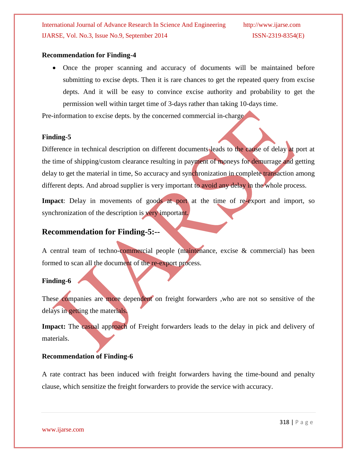#### **Recommendation for Finding-4**

 Once the proper scanning and accuracy of documents will be maintained before submitting to excise depts. Then it is rare chances to get the repeated query from excise depts. And it will be easy to convince excise authority and probability to get the permission well within target time of 3-days rather than taking 10-days time.

Pre-information to excise depts. by the concerned commercial in-charge

#### **Finding-5**

Difference in technical description on different documents leads to the cause of delay at port at the time of shipping/custom clearance resulting in payment of moneys for demurrage and getting delay to get the material in time, So accuracy and synchronization in complete transaction among different depts. And abroad supplier is very important to avoid any delay in the whole process.

Impact: Delay in movements of goods at port at the time of re-export and import, so synchronization of the description is very important.

## **Recommendation for Finding-5:--**

A central team of techno-commercial people (maintenance, excise & commercial) has been formed to scan all the document of the re-export process.

#### **Finding-6**

These companies are more dependent on freight forwarders , who are not so sensitive of the delays in getting the materials.

Impact: The casual approach of Freight forwarders leads to the delay in pick and delivery of materials.

#### **Recommendation of Finding-6**

A rate contract has been induced with freight forwarders having the time-bound and penalty clause, which sensitize the freight forwarders to provide the service with accuracy.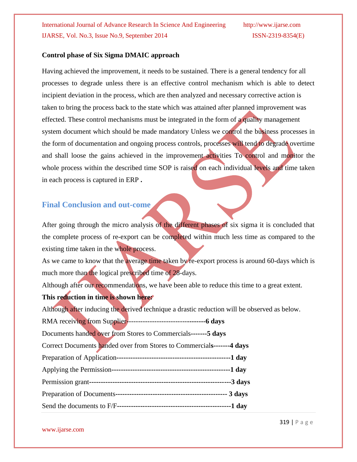#### **Control phase of Six Sigma DMAIC approach**

Having achieved the improvement, it needs to be sustained. There is a general tendency for all processes to degrade unless there is an effective control mechanism which is able to detect incipient deviation in the process, which are then analyzed and necessary corrective action is taken to bring the process back to the state which was attained after planned improvement was effected. These control mechanisms must be integrated in the form of a quality management system document which should be made mandatory Unless we control the business processes in the form of documentation and ongoing process controls, processes will tend to degrade overtime and shall loose the gains achieved in the improvement activities To control and monitor the whole process within the described time SOP is raised on each individual levels and time taken in each process is captured in ERP **.**

### **Final Conclusion and out-come**

After going through the micro analysis of the different phases of six sigma it is concluded that the complete process of re-export can be completed within much less time as compared to the existing time taken in the whole process.

As we came to know that the average time taken by re-export process is around 60-days which is much more than the logical prescribed time of 28-days.

Although after our recommendations, we have been able to reduce this time to a great extent. **This reduction in time is shown here:**

Although after inducing the derived technique a drastic reduction will be observed as below.

RMA receiving from Supplier--------------------------**--------6 days**

Documents handed over from Stores to Commercials**-------5 days**

Correct Documents handed over from Stores to Commercial**s-------4 days**